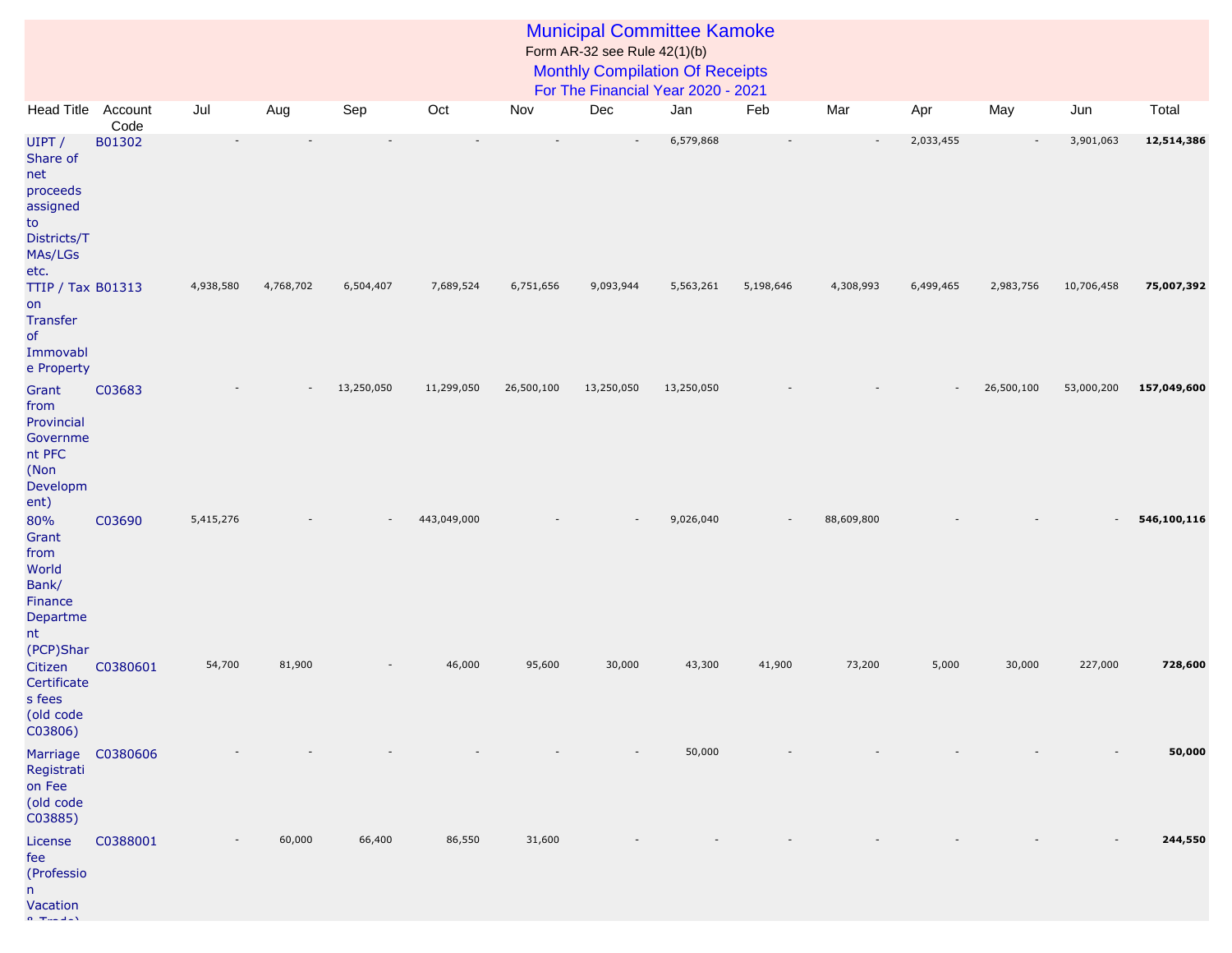## Municipal Committee Kamoke Form AR-32 see Rule 42(1)(b)

## Monthly Compilation Of Receipts

For The Financial Year 2020 - 2021

| <b>Head Title</b>                                                                         | Account<br>Code | Jul       | Aug       | Sep        | Oct         | Nov        | Dec        | Jan        | Feb       | Mar        | Apr                      | May        | Jun        | Total       |
|-------------------------------------------------------------------------------------------|-----------------|-----------|-----------|------------|-------------|------------|------------|------------|-----------|------------|--------------------------|------------|------------|-------------|
| UIPT /<br>Share of<br>net<br>proceeds<br>assigned<br>to<br>Districts/T<br>MAs/LGs<br>etc. | B01302          |           |           |            |             |            |            | 6,579,868  |           |            | 2,033,455                |            | 3,901,063  | 12,514,386  |
| <b>TTIP / Tax B01313</b><br>on<br><b>Transfer</b><br>of<br>Immovabl<br>e Property         |                 | 4,938,580 | 4,768,702 | 6,504,407  | 7,689,524   | 6,751,656  | 9,093,944  | 5,563,261  | 5,198,646 | 4,308,993  | 6,499,465                | 2,983,756  | 10,706,458 | 75,007,392  |
| Grant<br>from<br>Provincial<br>Governme<br>nt PFC<br>(Non<br>Developm<br>ent)             | C03683          |           |           | 13,250,050 | 11,299,050  | 26,500,100 | 13,250,050 | 13,250,050 |           |            | $\overline{\phantom{a}}$ | 26,500,100 | 53,000,200 | 157,049,600 |
| 80%<br>Grant<br>from<br>World<br>Bank/<br>Finance<br>Departme<br>nt<br>(PCP)Shar          | C03690          | 5,415,276 |           |            | 443,049,000 |            |            | 9,026,040  |           | 88,609,800 |                          |            |            | 546,100,116 |
| Citizen<br>Certificate<br>s fees<br>(old code<br>C03806)                                  | C0380601        | 54,700    | 81,900    |            | 46,000      | 95,600     | 30,000     | 43,300     | 41,900    | 73,200     | 5,000                    | 30,000     | 227,000    | 728,600     |
| Marriage<br>Registrati<br>on Fee<br>(old code<br>C03885)                                  | C0380606        |           |           |            |             |            |            | 50,000     |           |            |                          |            |            | 50,000      |
| License<br>fee<br>(Professio<br>n.<br>Vacation                                            | C0388001        |           | 60,000    | 66,400     | 86,550      | 31,600     |            |            |           |            |                          |            |            | 244,550     |

 $\alpha$  Tradella V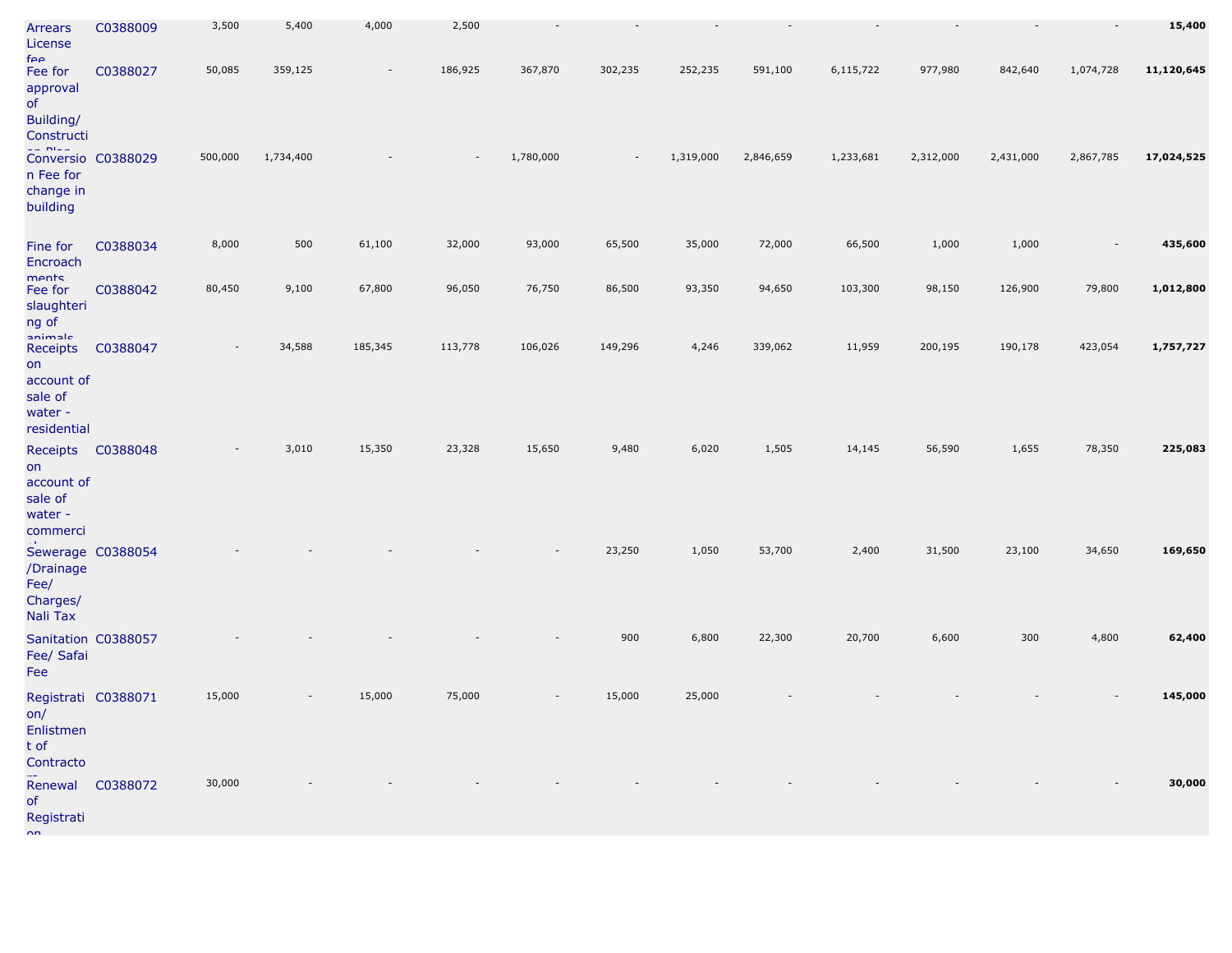| Arrears<br>License<br>$f\rho\rho$                                            | C0388009         | 3,500   | 5,400     | 4,000   | 2,500                    |           |                          |           |           |           |           |           | $\overline{\phantom{a}}$ | 15,400     |
|------------------------------------------------------------------------------|------------------|---------|-----------|---------|--------------------------|-----------|--------------------------|-----------|-----------|-----------|-----------|-----------|--------------------------|------------|
| Fee for<br>approval<br>of<br>Building/<br>Constructi                         | C0388027         | 50,085  | 359,125   |         | 186,925                  | 367,870   | 302,235                  | 252,235   | 591,100   | 6,115,722 | 977,980   | 842,640   | 1,074,728                | 11,120,645 |
| $= 51.4$<br>Conversio C0388029<br>n Fee for<br>change in<br>building         |                  | 500,000 | 1,734,400 |         | $\overline{\phantom{a}}$ | 1,780,000 | $\overline{\phantom{a}}$ | 1,319,000 | 2,846,659 | 1,233,681 | 2,312,000 | 2,431,000 | 2,867,785                | 17,024,525 |
| Fine for<br>Encroach                                                         | C0388034         | 8,000   | 500       | 61,100  | 32,000                   | 93,000    | 65,500                   | 35,000    | 72,000    | 66,500    | 1,000     | 1,000     |                          | 435,600    |
| ments<br>Fee for<br>slaughteri<br>ng of                                      | C0388042         | 80,450  | 9,100     | 67,800  | 96,050                   | 76,750    | 86,500                   | 93,350    | 94,650    | 103,300   | 98,150    | 126,900   | 79,800                   | 1,012,800  |
| animale<br>Receipts<br>on<br>account of<br>sale of<br>water -<br>residential | C0388047         |         | 34,588    | 185,345 | 113,778                  | 106,026   | 149,296                  | 4,246     | 339,062   | 11,959    | 200,195   | 190,178   | 423,054                  | 1,757,727  |
| Receipts<br>on<br>account of<br>sale of<br>water -<br>commerci               | C0388048         |         | 3,010     | 15,350  | 23,328                   | 15,650    | 9,480                    | 6,020     | 1,505     | 14,145    | 56,590    | 1,655     | 78,350                   | 225,083    |
| Sewerage C0388054<br>/Drainage<br>Fee/<br>Charges/<br>Nali Tax               |                  |         |           |         |                          |           | 23,250                   | 1,050     | 53,700    | 2,400     | 31,500    | 23,100    | 34,650                   | 169,650    |
| Sanitation C0388057<br>Fee/ Safai<br>Fee                                     |                  |         |           |         |                          |           | 900                      | 6,800     | 22,300    | 20,700    | 6,600     | 300       | 4,800                    | 62,400     |
| Registrati C0388071<br>on/<br>Enlistmen<br>t of<br>Contracto                 |                  | 15,000  |           | 15,000  | 75,000                   |           | 15,000                   | 25,000    |           |           |           |           |                          | 145,000    |
| of<br>Registrati<br>$n_{n}$                                                  | Renewal C0388072 | 30,000  |           |         |                          |           |                          |           |           |           |           |           |                          | 30,000     |